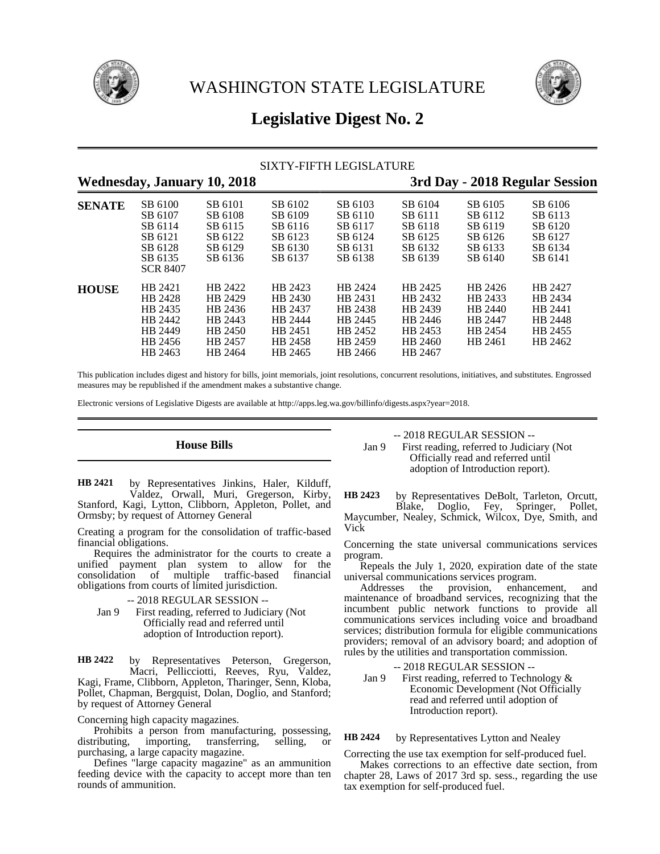



# **Legislative Digest No. 2**

### SIXTY-FIFTH LEGISLATURE

## **Wednesday, January 10, 2018 3rd Day - 2018 Regular Session**

| <b>SENATE</b> | SB 6100<br>SB 6107<br>SB 6114<br>SB 6121<br>SB 6128<br>SB 6135<br><b>SCR 8407</b> | SB 6101<br>SB 6108<br>SB 6115<br>SB 6122<br>SB 6129<br>SB 6136            | SB 6102<br>SB 6109<br>SB 6116<br>SB 6123<br>SB 6130<br>SB 6137            | SB 6103<br>SB 6110<br>SB 6117<br>SB 6124<br>SB 6131<br>SB 6138            | SB 6104<br>SB 6111<br>SB 6118<br>SB 6125<br>SB 6132<br>SB 6139            | SB 6105<br>SB 6112<br>SB 6119<br>SB 6126<br>SB 6133<br>SB 6140 | SB 6106<br>SB 6113<br>SB 6120<br>SB 6127<br>SB 6134<br>SB 6141 |  |
|---------------|-----------------------------------------------------------------------------------|---------------------------------------------------------------------------|---------------------------------------------------------------------------|---------------------------------------------------------------------------|---------------------------------------------------------------------------|----------------------------------------------------------------|----------------------------------------------------------------|--|
| <b>HOUSE</b>  | HB 2421<br>HB 2428<br>HB 2435<br>HB 2442<br>HB 2449<br>HB 2456<br>HB 2463         | HB 2422<br>HB 2429<br>HB 2436<br>HB 2443<br>HB 2450<br>HB 2457<br>HB 2464 | HB 2423<br>HB 2430<br>HB 2437<br>HB 2444<br>HB 2451<br>HB 2458<br>HB 2465 | HB 2424<br>HB 2431<br>HB 2438<br>HB 2445<br>HB 2452<br>HB 2459<br>HB 2466 | HB 2425<br>HB 2432<br>HB 2439<br>HB 2446<br>HB 2453<br>HB 2460<br>HB 2467 | HB 2426<br>HB 2433<br>HB 2440<br>HB 2447<br>HB 2454<br>HB 2461 | HB 2427<br>HB 2434<br>HB 2441<br>HB 2448<br>HB 2455<br>HB 2462 |  |

This publication includes digest and history for bills, joint memorials, joint resolutions, concurrent resolutions, initiatives, and substitutes. Engrossed measures may be republished if the amendment makes a substantive change.

Electronic versions of Legislative Digests are available at http://apps.leg.wa.gov/billinfo/digests.aspx?year=2018.

### **House Bills**

by Representatives Jinkins, Haler, Kilduff, Valdez, Orwall, Muri, Gregerson, Kirby, Stanford, Kagi, Lytton, Clibborn, Appleton, Pollet, and Ormsby; by request of Attorney General **HB 2421**

Creating a program for the consolidation of traffic-based financial obligations.

Requires the administrator for the courts to create a unified payment plan system to allow for the consolidation of multiple traffic-based financial obligations from courts of limited jurisdiction.

- -- 2018 REGULAR SESSION --
- Jan 9 First reading, referred to Judiciary (Not Officially read and referred until adoption of Introduction report).

by Representatives Peterson, Gregerson, Macri, Pellicciotti, Reeves, Ryu, Valdez, Kagi, Frame, Clibborn, Appleton, Tharinger, Senn, Kloba, Pollet, Chapman, Bergquist, Dolan, Doglio, and Stanford; by request of Attorney General **HB 2422**

Concerning high capacity magazines.

Prohibits a person from manufacturing, possessing, distributing, importing, transferring, selling, or importing, transferring, selling, or purchasing, a large capacity magazine.

Defines "large capacity magazine" as an ammunition feeding device with the capacity to accept more than ten rounds of ammunition.

-- 2018 REGULAR SESSION --

Jan 9 First reading, referred to Judiciary (Not Officially read and referred until adoption of Introduction report).

by Representatives DeBolt, Tarleton, Orcutt, Blake, Doglio, Fey, Springer, Pollet, Maycumber, Nealey, Schmick, Wilcox, Dye, Smith, and Vick **HB 2423**

Concerning the state universal communications services program.

Repeals the July 1, 2020, expiration date of the state universal communications services program.

Addresses the provision, enhancement, and maintenance of broadband services, recognizing that the incumbent public network functions to provide all communications services including voice and broadband services; distribution formula for eligible communications providers; removal of an advisory board; and adoption of rules by the utilities and transportation commission.

# -- 2018 REGULAR SESSION --

Jan 9 First reading, referred to Technology & Economic Development (Not Officially read and referred until adoption of Introduction report).

#### by Representatives Lytton and Nealey **HB 2424**

Correcting the use tax exemption for self-produced fuel.

Makes corrections to an effective date section, from chapter 28, Laws of 2017 3rd sp. sess., regarding the use tax exemption for self-produced fuel.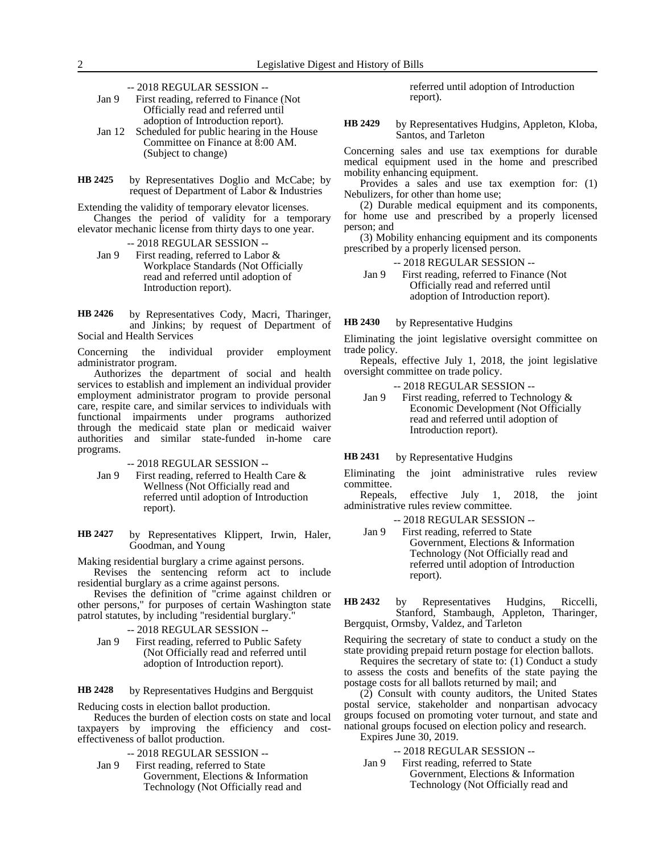-- 2018 REGULAR SESSION --

| Jan 9 | First reading, referred to Finance (Not) |
|-------|------------------------------------------|
|       | Officially read and referred until       |
|       | adoption of Introduction report).        |
|       |                                          |

- Jan 12 Scheduled for public hearing in the House Committee on Finance at 8:00 AM. (Subject to change)
- by Representatives Doglio and McCabe; by request of Department of Labor & Industries **HB 2425**

Extending the validity of temporary elevator licenses. Changes the period of validity for a temporary elevator mechanic license from thirty days to one year.

-- 2018 REGULAR SESSION -- Jan 9 First reading, referred to Labor & Workplace Standards (Not Officially read and referred until adoption of Introduction report).

by Representatives Cody, Macri, Tharinger, and Jinkins; by request of Department of Social and Health Services **HB 2426**

Concerning the individual provider employment administrator program.

Authorizes the department of social and health services to establish and implement an individual provider employment administrator program to provide personal care, respite care, and similar services to individuals with functional impairments under programs authorized through the medicaid state plan or medicaid waiver authorities and similar state-funded in-home care programs.

-- 2018 REGULAR SESSION --

Jan 9 First reading, referred to Health Care & Wellness (Not Officially read and referred until adoption of Introduction report).

by Representatives Klippert, Irwin, Haler, Goodman, and Young **HB 2427**

Making residential burglary a crime against persons.

Revises the sentencing reform act to include residential burglary as a crime against persons.

Revises the definition of "crime against children or other persons," for purposes of certain Washington state patrol statutes, by including "residential burglary."

-- 2018 REGULAR SESSION --

Jan 9 First reading, referred to Public Safety (Not Officially read and referred until adoption of Introduction report).

by Representatives Hudgins and Bergquist **HB 2428**

Reducing costs in election ballot production.

Reduces the burden of election costs on state and local taxpayers by improving the efficiency and costeffectiveness of ballot production.

-- 2018 REGULAR SESSION --

Jan 9 First reading, referred to State Government, Elections & Information Technology (Not Officially read and

referred until adoption of Introduction report).

by Representatives Hudgins, Appleton, Kloba, Santos, and Tarleton **HB 2429**

Concerning sales and use tax exemptions for durable medical equipment used in the home and prescribed mobility enhancing equipment.

Provides a sales and use tax exemption for: (1) Nebulizers, for other than home use;

(2) Durable medical equipment and its components, for home use and prescribed by a properly licensed person; and

(3) Mobility enhancing equipment and its components prescribed by a properly licensed person.

- -- 2018 REGULAR SESSION --
- Jan 9 First reading, referred to Finance (Not Officially read and referred until adoption of Introduction report).

by Representative Hudgins **HB 2430**

Eliminating the joint legislative oversight committee on trade policy.

Repeals, effective July 1, 2018, the joint legislative oversight committee on trade policy.

-- 2018 REGULAR SESSION --

Jan 9 First reading, referred to Technology & Economic Development (Not Officially read and referred until adoption of Introduction report).

by Representative Hudgins **HB 2431**

Eliminating the joint administrative rules review committee.

Repeals, effective July 1, 2018, the joint administrative rules review committee.

-- 2018 REGULAR SESSION --

Jan 9 First reading, referred to State Government, Elections & Information Technology (Not Officially read and referred until adoption of Introduction report).

by Representatives Hudgins, Riccelli, Stanford, Stambaugh, Appleton, Tharinger, Bergquist, Ormsby, Valdez, and Tarleton **HB 2432**

Requiring the secretary of state to conduct a study on the state providing prepaid return postage for election ballots.

Requires the secretary of state to: (1) Conduct a study to assess the costs and benefits of the state paying the postage costs for all ballots returned by mail; and

(2) Consult with county auditors, the United States postal service, stakeholder and nonpartisan advocacy groups focused on promoting voter turnout, and state and national groups focused on election policy and research. Expires June 30, 2019.

-- 2018 REGULAR SESSION --

Jan 9 First reading, referred to State Government, Elections & Information Technology (Not Officially read and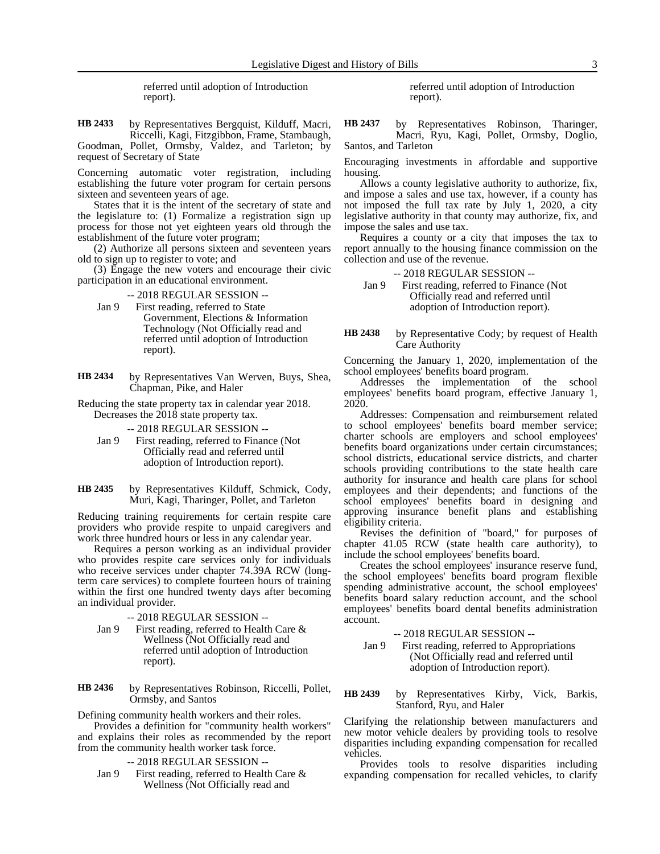referred until adoption of Introduction report).

by Representatives Bergquist, Kilduff, Macri, Riccelli, Kagi, Fitzgibbon, Frame, Stambaugh, Goodman, Pollet, Ormsby, Valdez, and Tarleton; by request of Secretary of State **HB 2433**

Concerning automatic voter registration, including establishing the future voter program for certain persons sixteen and seventeen years of age.

States that it is the intent of the secretary of state and the legislature to: (1) Formalize a registration sign up process for those not yet eighteen years old through the establishment of the future voter program;

(2) Authorize all persons sixteen and seventeen years old to sign up to register to vote; and

(3) Engage the new voters and encourage their civic participation in an educational environment.

- -- 2018 REGULAR SESSION --
- Jan 9 First reading, referred to State Government, Elections & Information Technology (Not Officially read and referred until adoption of Introduction report).
- by Representatives Van Werven, Buys, Shea, Chapman, Pike, and Haler **HB 2434**

Reducing the state property tax in calendar year 2018. Decreases the 2018 state property tax.

-- 2018 REGULAR SESSION --

- Jan 9 First reading, referred to Finance (Not Officially read and referred until adoption of Introduction report).
- by Representatives Kilduff, Schmick, Cody, Muri, Kagi, Tharinger, Pollet, and Tarleton **HB 2435**

Reducing training requirements for certain respite care providers who provide respite to unpaid caregivers and work three hundred hours or less in any calendar year.

Requires a person working as an individual provider who provides respite care services only for individuals who receive services under chapter 74.39A RCW (longterm care services) to complete fourteen hours of training within the first one hundred twenty days after becoming an individual provider.

- -- 2018 REGULAR SESSION --
- Jan 9 First reading, referred to Health Care & Wellness (Not Officially read and referred until adoption of Introduction report).

by Representatives Robinson, Riccelli, Pollet, Ormsby, and Santos **HB 2436**

Defining community health workers and their roles.

Provides a definition for "community health workers" and explains their roles as recommended by the report from the community health worker task force.

- -- 2018 REGULAR SESSION --
- Jan 9 First reading, referred to Health Care & Wellness (Not Officially read and

referred until adoption of Introduction report).

by Representatives Robinson, Tharinger, Macri, Ryu, Kagi, Pollet, Ormsby, Doglio, Santos, and Tarleton **HB 2437**

Encouraging investments in affordable and supportive housing.

Allows a county legislative authority to authorize, fix, and impose a sales and use tax, however, if a county has not imposed the full tax rate by July 1, 2020, a city legislative authority in that county may authorize, fix, and impose the sales and use tax.

Requires a county or a city that imposes the tax to report annually to the housing finance commission on the collection and use of the revenue.

-- 2018 REGULAR SESSION --

Jan 9 First reading, referred to Finance (Not Officially read and referred until adoption of Introduction report).

by Representative Cody; by request of Health Care Authority **HB 2438**

Concerning the January 1, 2020, implementation of the school employees' benefits board program.

Addresses the implementation of the school employees' benefits board program, effective January 1, 2020.

Addresses: Compensation and reimbursement related to school employees' benefits board member service; charter schools are employers and school employees' benefits board organizations under certain circumstances; school districts, educational service districts, and charter schools providing contributions to the state health care authority for insurance and health care plans for school employees and their dependents; and functions of the school employees' benefits board in designing and approving insurance benefit plans and establishing eligibility criteria.

Revises the definition of "board," for purposes of chapter 41.05 RCW (state health care authority), to include the school employees' benefits board.

Creates the school employees' insurance reserve fund, the school employees' benefits board program flexible spending administrative account, the school employees' benefits board salary reduction account, and the school employees' benefits board dental benefits administration account.

-- 2018 REGULAR SESSION --

Jan 9 First reading, referred to Appropriations (Not Officially read and referred until adoption of Introduction report).

by Representatives Kirby, Vick, Barkis, Stanford, Ryu, and Haler **HB 2439**

Clarifying the relationship between manufacturers and new motor vehicle dealers by providing tools to resolve disparities including expanding compensation for recalled vehicles.

Provides tools to resolve disparities including expanding compensation for recalled vehicles, to clarify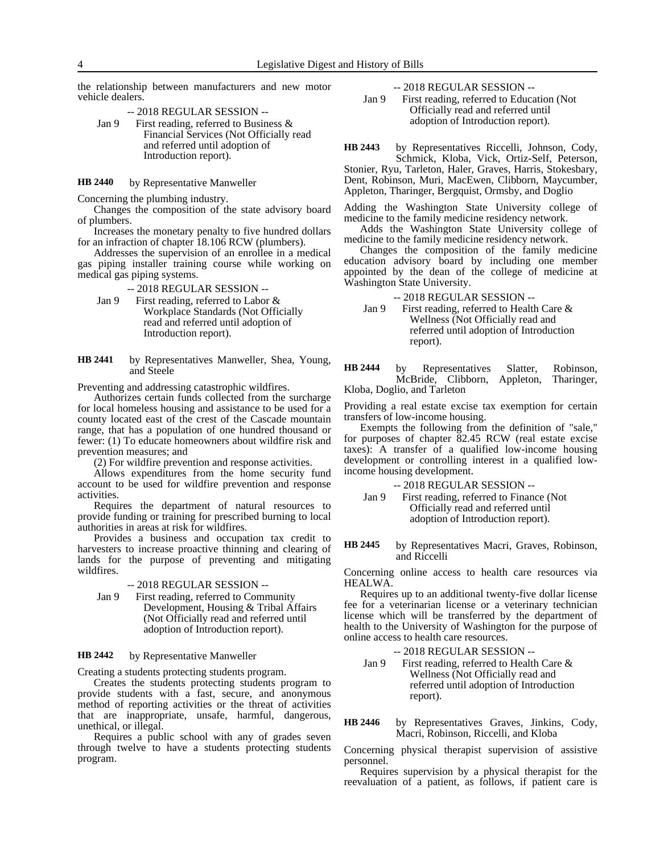the relationship between manufacturers and new motor vehicle dealers.

-- 2018 REGULAR SESSION --

Jan 9 First reading, referred to Business & Financial Services (Not Officially read and referred until adoption of Introduction report).

by Representative Manweller **HB 2440**

Concerning the plumbing industry.

Changes the composition of the state advisory board of plumbers.

Increases the monetary penalty to five hundred dollars for an infraction of chapter 18.106 RCW (plumbers).

Addresses the supervision of an enrollee in a medical gas piping installer training course while working on medical gas piping systems.

-- 2018 REGULAR SESSION --

- Jan 9 First reading, referred to Labor & Workplace Standards (Not Officially read and referred until adoption of Introduction report).
- by Representatives Manweller, Shea, Young, and Steele **HB 2441**

Preventing and addressing catastrophic wildfires.

Authorizes certain funds collected from the surcharge for local homeless housing and assistance to be used for a county located east of the crest of the Cascade mountain range, that has a population of one hundred thousand or fewer: (1) To educate homeowners about wildfire risk and prevention measures; and

(2) For wildfire prevention and response activities.

Allows expenditures from the home security fund account to be used for wildfire prevention and response activities.

Requires the department of natural resources to provide funding or training for prescribed burning to local authorities in areas at risk for wildfires.

Provides a business and occupation tax credit to harvesters to increase proactive thinning and clearing of lands for the purpose of preventing and mitigating wildfires.

-- 2018 REGULAR SESSION --

Jan 9 First reading, referred to Community Development, Housing & Tribal Affairs (Not Officially read and referred until adoption of Introduction report).

#### by Representative Manweller **HB 2442**

Creating a students protecting students program.

Creates the students protecting students program to provide students with a fast, secure, and anonymous method of reporting activities or the threat of activities that are inappropriate, unsafe, harmful, dangerous, unethical, or illegal.

Requires a public school with any of grades seven through twelve to have a students protecting students program.

-- 2018 REGULAR SESSION --

Jan 9 First reading, referred to Education (Not Officially read and referred until adoption of Introduction report).

by Representatives Riccelli, Johnson, Cody, **HB 2443**

Schmick, Kloba, Vick, Ortiz-Self, Peterson, Stonier, Ryu, Tarleton, Haler, Graves, Harris, Stokesbary, Dent, Robinson, Muri, MacEwen, Clibborn, Maycumber, Appleton, Tharinger, Bergquist, Ormsby, and Doglio

Adding the Washington State University college of medicine to the family medicine residency network.

Adds the Washington State University college of medicine to the family medicine residency network.

Changes the composition of the family medicine education advisory board by including one member appointed by the dean of the college of medicine at Washington State University.

-- 2018 REGULAR SESSION --

Jan 9 First reading, referred to Health Care & Wellness (Not Officially read and referred until adoption of Introduction report).

by Representatives Slatter, Robinson, McBride, Clibborn, Appleton, Tharinger, Kloba, Doglio, and Tarleton **HB 2444**

Providing a real estate excise tax exemption for certain transfers of low-income housing.

Exempts the following from the definition of "sale," for purposes of chapter 82.45 RCW (real estate excise taxes): A transfer of a qualified low-income housing development or controlling interest in a qualified lowincome housing development.

-- 2018 REGULAR SESSION --

Jan 9 First reading, referred to Finance (Not Officially read and referred until adoption of Introduction report).

by Representatives Macri, Graves, Robinson, and Riccelli **HB 2445**

Concerning online access to health care resources via HEALWA.

Requires up to an additional twenty-five dollar license fee for a veterinarian license or a veterinary technician license which will be transferred by the department of health to the University of Washington for the purpose of online access to health care resources.

- -- 2018 REGULAR SESSION --
- Jan 9 First reading, referred to Health Care & Wellness (Not Officially read and referred until adoption of Introduction report).

by Representatives Graves, Jinkins, Cody, Macri, Robinson, Riccelli, and Kloba **HB 2446**

Concerning physical therapist supervision of assistive personnel.

Requires supervision by a physical therapist for the reevaluation of a patient, as follows, if patient care is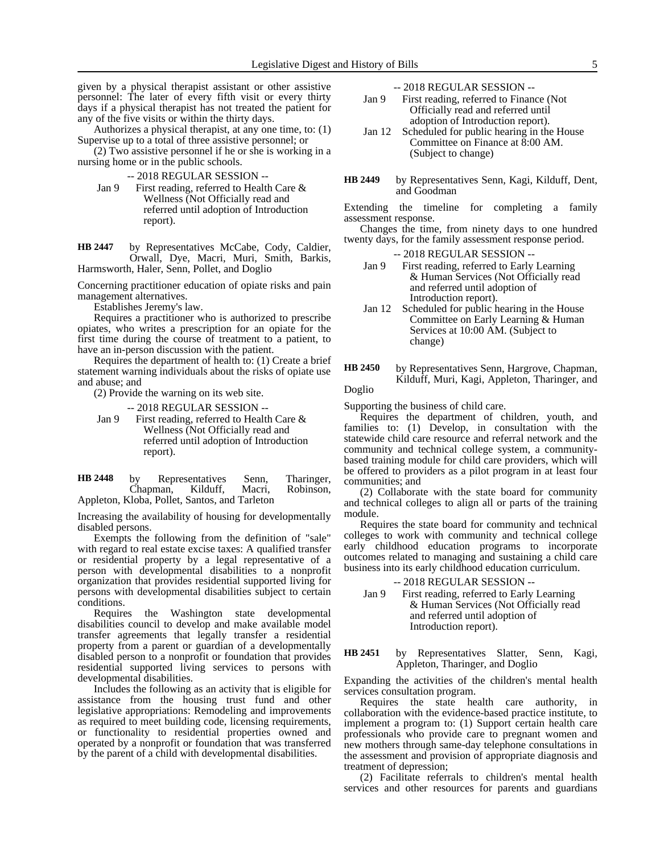given by a physical therapist assistant or other assistive personnel: The later of every fifth visit or every thirty days if a physical therapist has not treated the patient for any of the five visits or within the thirty days.

Authorizes a physical therapist, at any one time, to: (1) Supervise up to a total of three assistive personnel; or

(2) Two assistive personnel if he or she is working in a nursing home or in the public schools.

-- 2018 REGULAR SESSION --

Jan 9 First reading, referred to Health Care & Wellness (Not Officially read and referred until adoption of Introduction report).

by Representatives McCabe, Cody, Caldier, Orwall, Dye, Macri, Muri, Smith, Barkis, Harmsworth, Haler, Senn, Pollet, and Doglio **HB 2447**

Concerning practitioner education of opiate risks and pain management alternatives.

Establishes Jeremy's law.

Requires a practitioner who is authorized to prescribe opiates, who writes a prescription for an opiate for the first time during the course of treatment to a patient, to have an in-person discussion with the patient.

Requires the department of health to: (1) Create a brief statement warning individuals about the risks of opiate use and abuse; and

(2) Provide the warning on its web site.

-- 2018 REGULAR SESSION --

Jan 9 First reading, referred to Health Care & Wellness (Not Officially read and referred until adoption of Introduction report).

| <b>HB</b> 2448 | by | Representatives                               | Senn. | Tharinger, |
|----------------|----|-----------------------------------------------|-------|------------|
|                |    | Chapman, Kilduff, Macri,                      |       | Robinson.  |
|                |    | Appleton, Kloba, Pollet, Santos, and Tarleton |       |            |

Increasing the availability of housing for developmentally disabled persons.

Exempts the following from the definition of "sale" with regard to real estate excise taxes: A qualified transfer or residential property by a legal representative of a person with developmental disabilities to a nonprofit organization that provides residential supported living for persons with developmental disabilities subject to certain conditions.

Requires the Washington state developmental disabilities council to develop and make available model transfer agreements that legally transfer a residential property from a parent or guardian of a developmentally disabled person to a nonprofit or foundation that provides residential supported living services to persons with developmental disabilities.

Includes the following as an activity that is eligible for assistance from the housing trust fund and other legislative appropriations: Remodeling and improvements as required to meet building code, licensing requirements, or functionality to residential properties owned and operated by a nonprofit or foundation that was transferred by the parent of a child with developmental disabilities.

-- 2018 REGULAR SESSION --

- Jan 9 First reading, referred to Finance (Not Officially read and referred until adoption of Introduction report).
- Jan 12 Scheduled for public hearing in the House Committee on Finance at 8:00 AM. (Subject to change)
- by Representatives Senn, Kagi, Kilduff, Dent, and Goodman **HB 2449**

Extending the timeline for completing a family assessment response.

Changes the time, from ninety days to one hundred twenty days, for the family assessment response period.

-- 2018 REGULAR SESSION --

- Jan 9 First reading, referred to Early Learning & Human Services (Not Officially read and referred until adoption of Introduction report).
- Jan 12 Scheduled for public hearing in the House Committee on Early Learning & Human Services at 10:00 AM. (Subject to change)
- by Representatives Senn, Hargrove, Chapman, Kilduff, Muri, Kagi, Appleton, Tharinger, and **HB 2450**

Doglio

Supporting the business of child care.

Requires the department of children, youth, and families to: (1) Develop, in consultation with the statewide child care resource and referral network and the community and technical college system, a communitybased training module for child care providers, which will be offered to providers as a pilot program in at least four communities; and

(2) Collaborate with the state board for community and technical colleges to align all or parts of the training module.

Requires the state board for community and technical colleges to work with community and technical college early childhood education programs to incorporate outcomes related to managing and sustaining a child care business into its early childhood education curriculum.

-- 2018 REGULAR SESSION --

Jan 9 First reading, referred to Early Learning & Human Services (Not Officially read and referred until adoption of Introduction report).

### by Representatives Slatter, Senn, Kagi, Appleton, Tharinger, and Doglio **HB 2451**

Expanding the activities of the children's mental health services consultation program.

Requires the state health care authority, in collaboration with the evidence-based practice institute, to implement a program to: (1) Support certain health care professionals who provide care to pregnant women and new mothers through same-day telephone consultations in the assessment and provision of appropriate diagnosis and treatment of depression;

(2) Facilitate referrals to children's mental health services and other resources for parents and guardians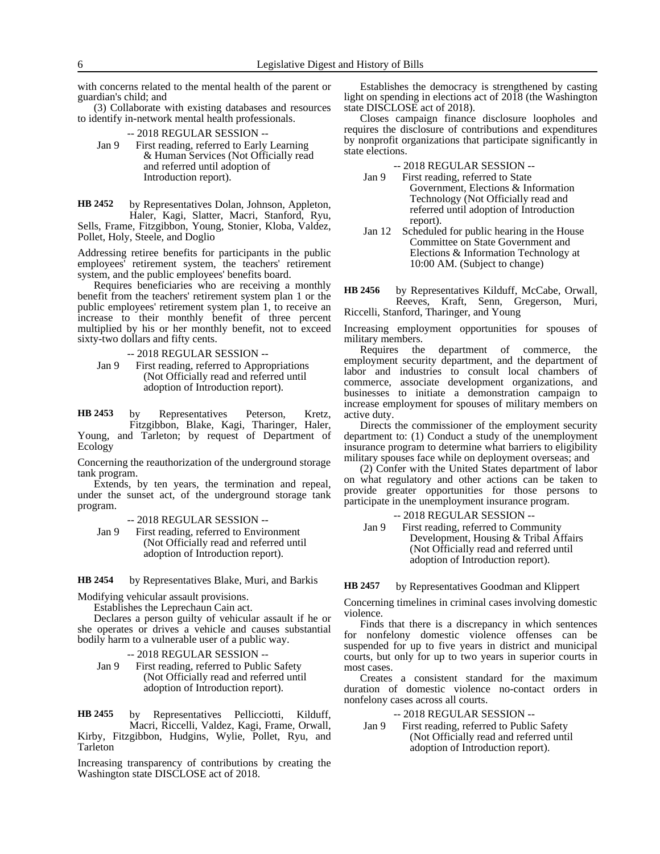with concerns related to the mental health of the parent or guardian's child; and

(3) Collaborate with existing databases and resources to identify in-network mental health professionals.

- -- 2018 REGULAR SESSION --
- Jan 9 First reading, referred to Early Learning & Human Services (Not Officially read and referred until adoption of Introduction report).

by Representatives Dolan, Johnson, Appleton, Haler, Kagi, Slatter, Macri, Stanford, Ryu, Sells, Frame, Fitzgibbon, Young, Stonier, Kloba, Valdez, Pollet, Holy, Steele, and Doglio **HB 2452**

Addressing retiree benefits for participants in the public employees' retirement system, the teachers' retirement system, and the public employees' benefits board.

Requires beneficiaries who are receiving a monthly benefit from the teachers' retirement system plan 1 or the public employees' retirement system plan 1, to receive an increase to their monthly benefit of three percent multiplied by his or her monthly benefit, not to exceed sixty-two dollars and fifty cents.

-- 2018 REGULAR SESSION --

Jan 9 First reading, referred to Appropriations (Not Officially read and referred until adoption of Introduction report).

by Representatives Peterson, Kretz, Fitzgibbon, Blake, Kagi, Tharinger, Haler, **HB 2453**

Young, and Tarleton; by request of Department of Ecology

Concerning the reauthorization of the underground storage tank program.

Extends, by ten years, the termination and repeal, under the sunset act, of the underground storage tank program.

-- 2018 REGULAR SESSION --

Jan 9 First reading, referred to Environment (Not Officially read and referred until adoption of Introduction report).

by Representatives Blake, Muri, and Barkis **HB 2454**

Modifying vehicular assault provisions.

Establishes the Leprechaun Cain act.

Declares a person guilty of vehicular assault if he or she operates or drives a vehicle and causes substantial bodily harm to a vulnerable user of a public way.

-- 2018 REGULAR SESSION --

Jan 9 First reading, referred to Public Safety (Not Officially read and referred until adoption of Introduction report).

by Representatives Pellicciotti, Kilduff, Macri, Riccelli, Valdez, Kagi, Frame, Orwall, Kirby, Fitzgibbon, Hudgins, Wylie, Pollet, Ryu, and Tarleton **HB 2455**

Increasing transparency of contributions by creating the Washington state DISCLOSE act of 2018.

Establishes the democracy is strengthened by casting light on spending in elections act of 2018 (the Washington state DISCLOSE act of 2018).

Closes campaign finance disclosure loopholes and requires the disclosure of contributions and expenditures by nonprofit organizations that participate significantly in state elections.

-- 2018 REGULAR SESSION --

- Jan 9 First reading, referred to State Government, Elections & Information Technology (Not Officially read and referred until adoption of Introduction report).
- Jan 12 Scheduled for public hearing in the House Committee on State Government and Elections & Information Technology at 10:00 AM. (Subject to change)

by Representatives Kilduff, McCabe, Orwall, Reeves, Kraft, Senn, Gregerson, Muri, **HB 2456**

Riccelli, Stanford, Tharinger, and Young

Increasing employment opportunities for spouses of military members.

Requires the department of commerce, the employment security department, and the department of labor and industries to consult local chambers of commerce, associate development organizations, and businesses to initiate a demonstration campaign to increase employment for spouses of military members on active duty.

Directs the commissioner of the employment security department to: (1) Conduct a study of the unemployment insurance program to determine what barriers to eligibility military spouses face while on deployment overseas; and

(2) Confer with the United States department of labor on what regulatory and other actions can be taken to provide greater opportunities for those persons to participate in the unemployment insurance program.

-- 2018 REGULAR SESSION --

Jan 9 First reading, referred to Community Development, Housing & Tribal Affairs (Not Officially read and referred until adoption of Introduction report).

by Representatives Goodman and Klippert **HB 2457**

Concerning timelines in criminal cases involving domestic violence.

Finds that there is a discrepancy in which sentences for nonfelony domestic violence offenses can be suspended for up to five years in district and municipal courts, but only for up to two years in superior courts in most cases.

Creates a consistent standard for the maximum duration of domestic violence no-contact orders in nonfelony cases across all courts.

-- 2018 REGULAR SESSION --

Jan 9 First reading, referred to Public Safety (Not Officially read and referred until adoption of Introduction report).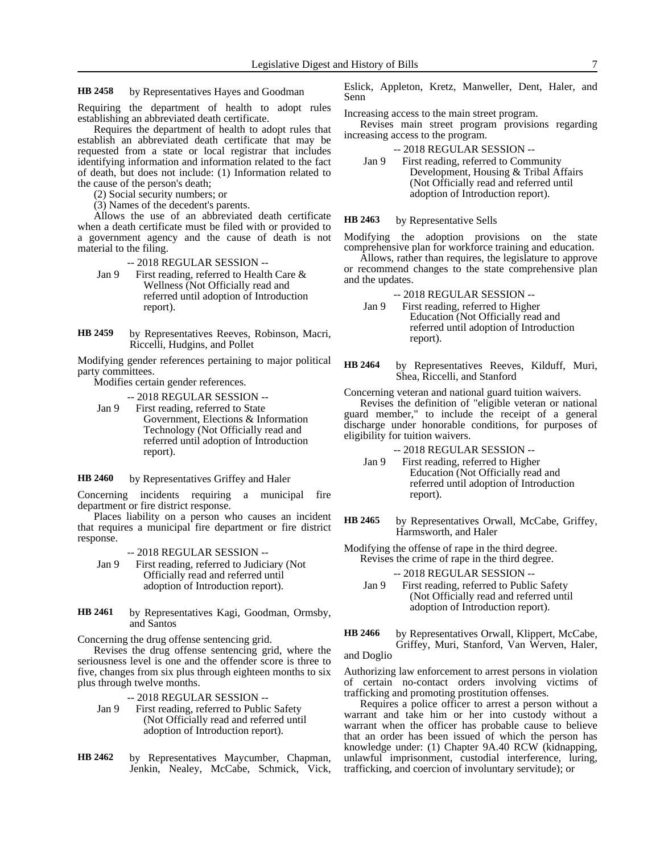#### by Representatives Hayes and Goodman **HB 2458**

Requiring the department of health to adopt rules establishing an abbreviated death certificate.

Requires the department of health to adopt rules that establish an abbreviated death certificate that may be requested from a state or local registrar that includes identifying information and information related to the fact of death, but does not include: (1) Information related to the cause of the person's death;

(2) Social security numbers; or

(3) Names of the decedent's parents.

Allows the use of an abbreviated death certificate when a death certificate must be filed with or provided to a government agency and the cause of death is not material to the filing.

- -- 2018 REGULAR SESSION --
- Jan 9 First reading, referred to Health Care & Wellness (Not Officially read and referred until adoption of Introduction report).
- by Representatives Reeves, Robinson, Macri, Riccelli, Hudgins, and Pollet **HB 2459**

Modifying gender references pertaining to major political party committees.

Modifies certain gender references.

-- 2018 REGULAR SESSION --

Jan 9 First reading, referred to State Government, Elections & Information Technology (Not Officially read and referred until adoption of Introduction report).

by Representatives Griffey and Haler **HB 2460**

Concerning incidents requiring a municipal fire department or fire district response.

Places liability on a person who causes an incident that requires a municipal fire department or fire district response.

-- 2018 REGULAR SESSION --

- Jan 9 First reading, referred to Judiciary (Not Officially read and referred until adoption of Introduction report).
- by Representatives Kagi, Goodman, Ormsby, and Santos **HB 2461**

Concerning the drug offense sentencing grid.

Revises the drug offense sentencing grid, where the seriousness level is one and the offender score is three to five, changes from six plus through eighteen months to six plus through twelve months.

-- 2018 REGULAR SESSION --

- Jan 9 First reading, referred to Public Safety (Not Officially read and referred until adoption of Introduction report).
- by Representatives Maycumber, Chapman, Jenkin, Nealey, McCabe, Schmick, Vick, **HB 2462**

Eslick, Appleton, Kretz, Manweller, Dent, Haler, and Senn

Increasing access to the main street program.

Revises main street program provisions regarding increasing access to the program.

-- 2018 REGULAR SESSION --

Jan 9 First reading, referred to Community Development, Housing & Tribal Affairs (Not Officially read and referred until adoption of Introduction report).

#### by Representative Sells **HB 2463**

Modifying the adoption provisions on the state comprehensive plan for workforce training and education.

Allows, rather than requires, the legislature to approve or recommend changes to the state comprehensive plan and the updates.

- -- 2018 REGULAR SESSION --
- Jan 9 First reading, referred to Higher Education (Not Officially read and referred until adoption of Introduction report).
- by Representatives Reeves, Kilduff, Muri, Shea, Riccelli, and Stanford **HB 2464**

Concerning veteran and national guard tuition waivers. Revises the definition of "eligible veteran or national guard member," to include the receipt of a general discharge under honorable conditions, for purposes of eligibility for tuition waivers.

-- 2018 REGULAR SESSION --

- Jan 9 First reading, referred to Higher Education (Not Officially read and referred until adoption of Introduction report).
- by Representatives Orwall, McCabe, Griffey, Harmsworth, and Haler **HB 2465**
- Modifying the offense of rape in the third degree. Revises the crime of rape in the third degree.

-- 2018 REGULAR SESSION --

- Jan 9 First reading, referred to Public Safety (Not Officially read and referred until adoption of Introduction report).
- by Representatives Orwall, Klippert, McCabe, Griffey, Muri, Stanford, Van Werven, Haler, **HB 2466**

and Doglio

Authorizing law enforcement to arrest persons in violation of certain no-contact orders involving victims of trafficking and promoting prostitution offenses.

Requires a police officer to arrest a person without a warrant and take him or her into custody without a warrant when the officer has probable cause to believe that an order has been issued of which the person has knowledge under: (1) Chapter 9A.40 RCW (kidnapping, unlawful imprisonment, custodial interference, luring, trafficking, and coercion of involuntary servitude); or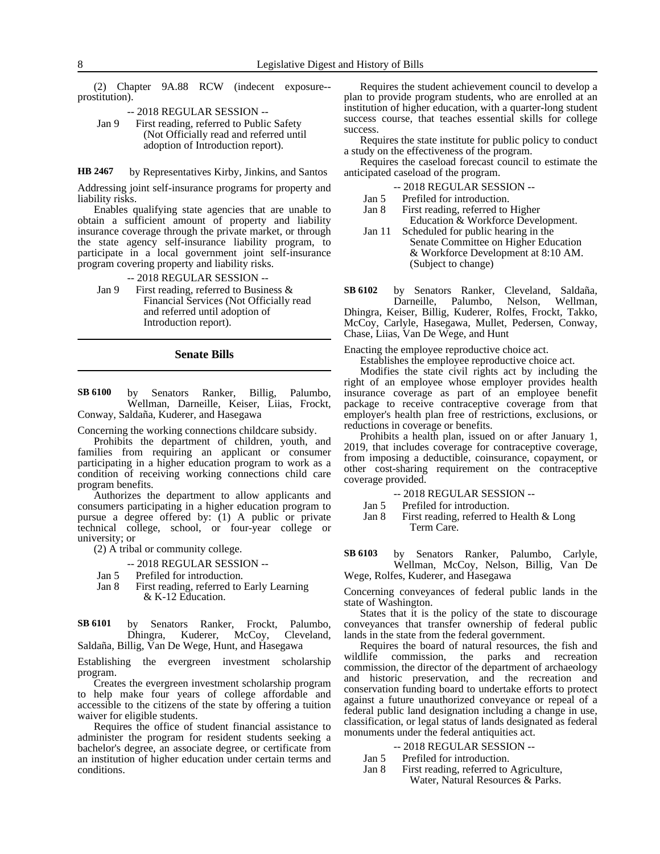(2) Chapter 9A.88 RCW (indecent exposure- prostitution).

- -- 2018 REGULAR SESSION --
- Jan 9 First reading, referred to Public Safety (Not Officially read and referred until adoption of Introduction report).

by Representatives Kirby, Jinkins, and Santos **HB 2467**

Addressing joint self-insurance programs for property and liability risks.

Enables qualifying state agencies that are unable to obtain a sufficient amount of property and liability insurance coverage through the private market, or through the state agency self-insurance liability program, to participate in a local government joint self-insurance program covering property and liability risks.

- -- 2018 REGULAR SESSION --
- Jan 9 First reading, referred to Business  $\&$ Financial Services (Not Officially read and referred until adoption of Introduction report).
	- **Senate Bills**
- by Senators Ranker, Billig, Palumbo, Wellman, Darneille, Keiser, Liias, Frockt, Conway, Saldaña, Kuderer, and Hasegawa **SB 6100**

Concerning the working connections childcare subsidy.

Prohibits the department of children, youth, and families from requiring an applicant or consumer participating in a higher education program to work as a condition of receiving working connections child care program benefits.

Authorizes the department to allow applicants and consumers participating in a higher education program to pursue a degree offered by: (1) A public or private technical college, school, or four-year college or university; or

(2) A tribal or community college.

- -- 2018 REGULAR SESSION --
- Jan 5 Prefiled for introduction.
- Jan 8 First reading, referred to Early Learning & K-12 Education.

by Senators Ranker, Frockt, Palumbo,<br>Dhingra, Kuderer, McCoy, Cleveland, Dhingra, Kuderer, McCoy, Cleveland, Saldaña, Billig, Van De Wege, Hunt, and Hasegawa **SB 6101**

Establishing the evergreen investment scholarship program.

Creates the evergreen investment scholarship program to help make four years of college affordable and accessible to the citizens of the state by offering a tuition waiver for eligible students.

Requires the office of student financial assistance to administer the program for resident students seeking a bachelor's degree, an associate degree, or certificate from an institution of higher education under certain terms and conditions.

Requires the student achievement council to develop a plan to provide program students, who are enrolled at an institution of higher education, with a quarter-long student success course, that teaches essential skills for college success.

Requires the state institute for public policy to conduct a study on the effectiveness of the program.

Requires the caseload forecast council to estimate the anticipated caseload of the program.

- -- 2018 REGULAR SESSION --
- Jan 5 Prefiled for introduction.
- Jan 8 First reading, referred to Higher Education & Workforce Development. Jan 11 Scheduled for public hearing in the
- Senate Committee on Higher Education & Workforce Development at 8:10 AM. (Subject to change)

by Senators Ranker, Cleveland, Saldaña, Darneille, Palumbo, Nelson, Wellman, Dhingra, Keiser, Billig, Kuderer, Rolfes, Frockt, Takko, McCoy, Carlyle, Hasegawa, Mullet, Pedersen, Conway, **SB 6102**

Chase, Liias, Van De Wege, and Hunt Enacting the employee reproductive choice act.

Establishes the employee reproductive choice act.

Modifies the state civil rights act by including the right of an employee whose employer provides health insurance coverage as part of an employee benefit package to receive contraceptive coverage from that employer's health plan free of restrictions, exclusions, or reductions in coverage or benefits.

Prohibits a health plan, issued on or after January 1, 2019, that includes coverage for contraceptive coverage, from imposing a deductible, coinsurance, copayment, or other cost-sharing requirement on the contraceptive coverage provided.

-- 2018 REGULAR SESSION --

Jan 5 Prefiled for introduction.

- Jan 8 First reading, referred to Health & Long Term Care.
- by Senators Ranker, Palumbo, Carlyle, Wellman, McCoy, Nelson, Billig, Van De Wege, Rolfes, Kuderer, and Hasegawa **SB 6103**

Concerning conveyances of federal public lands in the state of Washington.

States that it is the policy of the state to discourage conveyances that transfer ownership of federal public lands in the state from the federal government.

Requires the board of natural resources, the fish and wildlife commission, the parks and recreation commission, the director of the department of archaeology and historic preservation, and the recreation and conservation funding board to undertake efforts to protect against a future unauthorized conveyance or repeal of a federal public land designation including a change in use, classification, or legal status of lands designated as federal monuments under the federal antiquities act.

- -- 2018 REGULAR SESSION --
- Jan 5 Prefiled for introduction.
- Jan 8 First reading, referred to Agriculture,
	- Water, Natural Resources & Parks.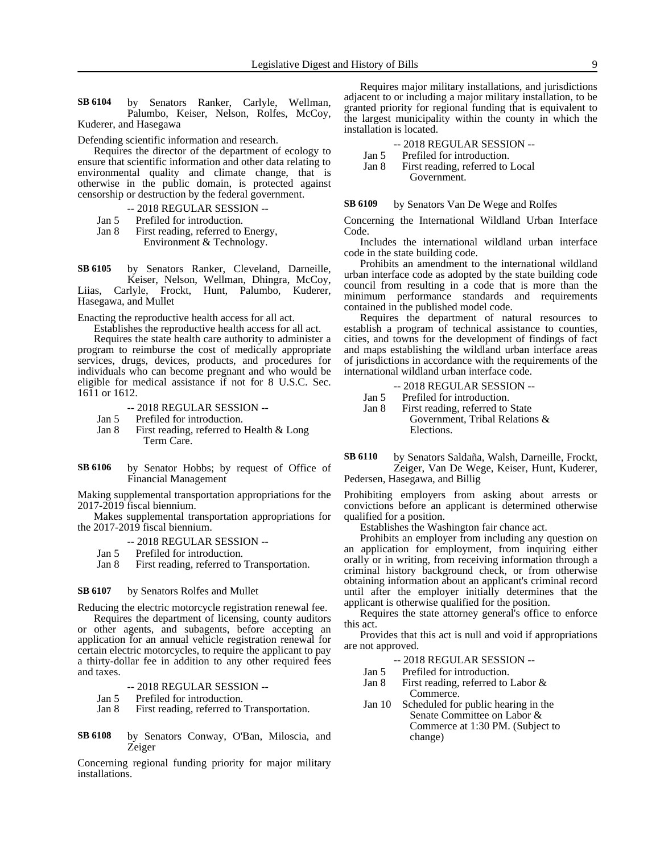by Senators Ranker, Carlyle, Wellman, Palumbo, Keiser, Nelson, Rolfes, McCoy, Kuderer, and Hasegawa **SB 6104**

Defending scientific information and research.

Requires the director of the department of ecology to ensure that scientific information and other data relating to environmental quality and climate change, that is otherwise in the public domain, is protected against censorship or destruction by the federal government.

- -- 2018 REGULAR SESSION --
- Jan 5 Prefiled for introduction.<br>Jan 8 First reading, referred to
- First reading, referred to Energy, Environment & Technology.

by Senators Ranker, Cleveland, Darneille, Keiser, Nelson, Wellman, Dhingra, McCoy, Liias, Carlyle, Frockt, Hunt, Palumbo, Kuderer, Hasegawa, and Mullet **SB 6105**

Enacting the reproductive health access for all act.

Establishes the reproductive health access for all act. Requires the state health care authority to administer a program to reimburse the cost of medically appropriate services, drugs, devices, products, and procedures for individuals who can become pregnant and who would be eligible for medical assistance if not for 8 U.S.C. Sec. 1611 or 1612.

- -- 2018 REGULAR SESSION --
- Jan 5 Prefiled for introduction.
- Jan 8 First reading, referred to Health & Long Term Care.

by Senator Hobbs; by request of Office of Financial Management **SB 6106**

Making supplemental transportation appropriations for the 2017-2019 fiscal biennium.

Makes supplemental transportation appropriations for the 2017-2019 fiscal biennium.

- -- 2018 REGULAR SESSION --
- Jan 5 Prefiled for introduction.<br>Jan 8 First reading, referred to
- First reading, referred to Transportation.

by Senators Rolfes and Mullet **SB 6107**

Reducing the electric motorcycle registration renewal fee.

Requires the department of licensing, county auditors or other agents, and subagents, before accepting an application for an annual vehicle registration renewal for certain electric motorcycles, to require the applicant to pay a thirty-dollar fee in addition to any other required fees and taxes.

- -- 2018 REGULAR SESSION --
- Jan 5 Prefiled for introduction.
- Jan 8 First reading, referred to Transportation.

by Senators Conway, O'Ban, Miloscia, and Zeiger **SB 6108**

Concerning regional funding priority for major military installations.

Requires major military installations, and jurisdictions adjacent to or including a major military installation, to be granted priority for regional funding that is equivalent to the largest municipality within the county in which the installation is located.

-- 2018 REGULAR SESSION --

Jan 5 Prefiled for introduction.

- Jan 8 First reading, referred to Local
	- Government.

by Senators Van De Wege and Rolfes **SB 6109**

Concerning the International Wildland Urban Interface Code.

Includes the international wildland urban interface code in the state building code.

Prohibits an amendment to the international wildland urban interface code as adopted by the state building code council from resulting in a code that is more than the minimum performance standards and requirements contained in the published model code.

Requires the department of natural resources to establish a program of technical assistance to counties, cities, and towns for the development of findings of fact and maps establishing the wildland urban interface areas of jurisdictions in accordance with the requirements of the international wildland urban interface code.

- -- 2018 REGULAR SESSION --
- Jan 5 Prefiled for introduction.
- Jan 8 First reading, referred to State Government, Tribal Relations & Elections.

by Senators Saldaña, Walsh, Darneille, Frockt, Zeiger, Van De Wege, Keiser, Hunt, Kuderer, Pedersen, Hasegawa, and Billig **SB 6110**

Prohibiting employers from asking about arrests or convictions before an applicant is determined otherwise qualified for a position.

Establishes the Washington fair chance act.

Prohibits an employer from including any question on an application for employment, from inquiring either orally or in writing, from receiving information through a criminal history background check, or from otherwise obtaining information about an applicant's criminal record until after the employer initially determines that the applicant is otherwise qualified for the position.

Requires the state attorney general's office to enforce this act.

Provides that this act is null and void if appropriations are not approved.

- -- 2018 REGULAR SESSION --
- Jan 5 Prefiled for introduction.
- Jan 8 First reading, referred to Labor & Commerce.
- Jan 10 Scheduled for public hearing in the Senate Committee on Labor & Commerce at 1:30 PM. (Subject to change)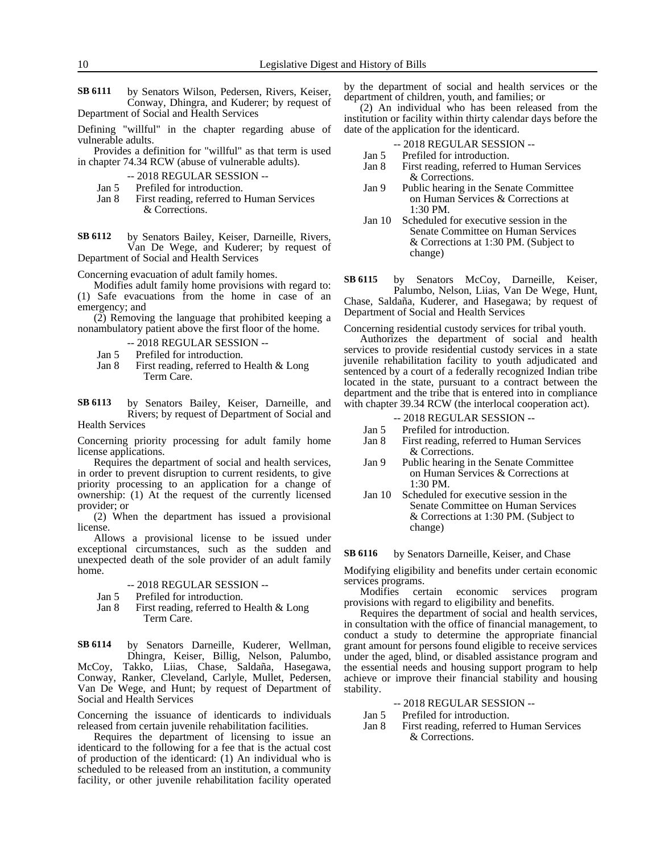by Senators Wilson, Pedersen, Rivers, Keiser, Conway, Dhingra, and Kuderer; by request of Department of Social and Health Services **SB 6111**

Defining "willful" in the chapter regarding abuse of vulnerable adults.

Provides a definition for "willful" as that term is used in chapter 74.34 RCW (abuse of vulnerable adults).

- -- 2018 REGULAR SESSION --
- Jan 5 Prefiled for introduction.
- Jan 8 First reading, referred to Human Services & Corrections.

by Senators Bailey, Keiser, Darneille, Rivers, Van De Wege, and Kuderer; by request of Department of Social and Health Services **SB 6112**

Concerning evacuation of adult family homes.

Modifies adult family home provisions with regard to: (1) Safe evacuations from the home in case of an emergency; and

(2) Removing the language that prohibited keeping a nonambulatory patient above the first floor of the home.

- -- 2018 REGULAR SESSION --
- 
- Jan 5 Prefiled for introduction.<br>Jan 8 First reading, referred to First reading, referred to Health  $&$  Long Term Care.

by Senators Bailey, Keiser, Darneille, and Rivers; by request of Department of Social and **SB 6113**

Health Services

Concerning priority processing for adult family home license applications.

Requires the department of social and health services, in order to prevent disruption to current residents, to give priority processing to an application for a change of ownership: (1) At the request of the currently licensed provider; or

(2) When the department has issued a provisional license.

Allows a provisional license to be issued under exceptional circumstances, such as the sudden and unexpected death of the sole provider of an adult family home.

- -- 2018 REGULAR SESSION --
- Jan 5 Prefiled for introduction.
- Jan 8 First reading, referred to Health & Long Term Care.

by Senators Darneille, Kuderer, Wellman, Dhingra, Keiser, Billig, Nelson, Palumbo, McCoy, Takko, Liias, Chase, Saldaña, Hasegawa, Conway, Ranker, Cleveland, Carlyle, Mullet, Pedersen, Van De Wege, and Hunt; by request of Department of Social and Health Services **SB 6114**

Concerning the issuance of identicards to individuals released from certain juvenile rehabilitation facilities.

Requires the department of licensing to issue an identicard to the following for a fee that is the actual cost of production of the identicard: (1) An individual who is scheduled to be released from an institution, a community facility, or other juvenile rehabilitation facility operated by the department of social and health services or the department of children, youth, and families; or

(2) An individual who has been released from the institution or facility within thirty calendar days before the date of the application for the identicard.

- -- 2018 REGULAR SESSION --
- Jan 5 Prefiled for introduction.
- Jan 8 First reading, referred to Human Services & Corrections.
- Jan 9 Public hearing in the Senate Committee on Human Services & Corrections at 1:30 PM.
- Jan 10 Scheduled for executive session in the Senate Committee on Human Services & Corrections at 1:30 PM. (Subject to change)

by Senators McCoy, Darneille, Keiser, Palumbo, Nelson, Liias, Van De Wege, Hunt, Chase, Saldaña, Kuderer, and Hasegawa; by request of Department of Social and Health Services **SB 6115**

Concerning residential custody services for tribal youth.

Authorizes the department of social and health services to provide residential custody services in a state juvenile rehabilitation facility to youth adjudicated and sentenced by a court of a federally recognized Indian tribe located in the state, pursuant to a contract between the department and the tribe that is entered into in compliance with chapter 39.34 RCW (the interlocal cooperation act).

- -- 2018 REGULAR SESSION --
- Jan 5 Prefiled for introduction.
- Jan 8 First reading, referred to Human Services & Corrections.
- Jan 9 Public hearing in the Senate Committee on Human Services & Corrections at 1:30 PM.
- Jan 10 Scheduled for executive session in the Senate Committee on Human Services & Corrections at 1:30 PM. (Subject to change)

#### by Senators Darneille, Keiser, and Chase **SB 6116**

Modifying eligibility and benefits under certain economic services programs.

Modifies certain economic services program provisions with regard to eligibility and benefits.

Requires the department of social and health services, in consultation with the office of financial management, to conduct a study to determine the appropriate financial grant amount for persons found eligible to receive services under the aged, blind, or disabled assistance program and the essential needs and housing support program to help achieve or improve their financial stability and housing stability.

### -- 2018 REGULAR SESSION --

- Jan 5 Prefiled for introduction.
- Jan 8 First reading, referred to Human Services & Corrections.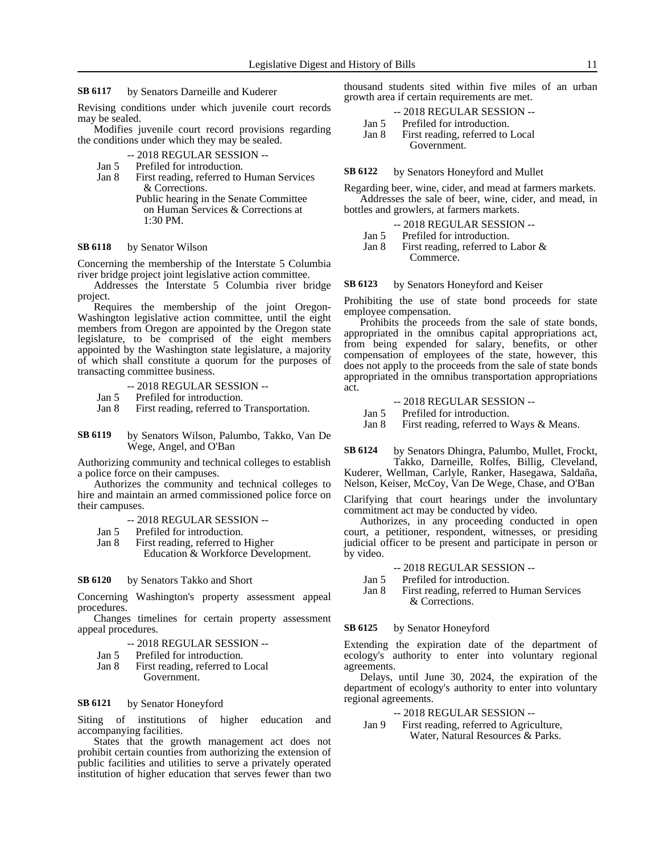#### by Senators Darneille and Kuderer **SB 6117**

Revising conditions under which juvenile court records may be sealed.

Modifies juvenile court record provisions regarding the conditions under which they may be sealed.

- -- 2018 REGULAR SESSION --
- Jan 5 Prefiled for introduction.<br>Jan 8 First reading, referred to
- First reading, referred to Human Services & Corrections. Public hearing in the Senate Committee
	- on Human Services & Corrections at 1:30 PM.

#### by Senator Wilson **SB 6118**

Concerning the membership of the Interstate 5 Columbia river bridge project joint legislative action committee.

Addresses the Interstate 5 Columbia river bridge project.

Requires the membership of the joint Oregon-Washington legislative action committee, until the eight members from Oregon are appointed by the Oregon state legislature, to be comprised of the eight members appointed by the Washington state legislature, a majority of which shall constitute a quorum for the purposes of transacting committee business.

- -- 2018 REGULAR SESSION --
- Jan 5 Prefiled for introduction.
- Jan 8 First reading, referred to Transportation.
- by Senators Wilson, Palumbo, Takko, Van De Wege, Angel, and O'Ban **SB 6119**

Authorizing community and technical colleges to establish a police force on their campuses.

Authorizes the community and technical colleges to hire and maintain an armed commissioned police force on their campuses.

- -- 2018 REGULAR SESSION --
- Jan 5 Prefiled for introduction.
- Jan 8 First reading, referred to Higher Education & Workforce Development.

#### by Senators Takko and Short **SB 6120**

Concerning Washington's property assessment appeal procedures.

Changes timelines for certain property assessment appeal procedures.

- -- 2018 REGULAR SESSION --
- Jan 5 Prefiled for introduction.
- Jan 8 First reading, referred to Local Government.

#### by Senator Honeyford **SB 6121**

Siting of institutions of higher education and accompanying facilities.

States that the growth management act does not prohibit certain counties from authorizing the extension of public facilities and utilities to serve a privately operated institution of higher education that serves fewer than two

thousand students sited within five miles of an urban growth area if certain requirements are met.

|       | $-2018$ REGULAR SESSION $-$      |  |
|-------|----------------------------------|--|
| Jan 5 | Prefiled for introduction.       |  |
| Jan 8 | First reading, referred to Local |  |
|       | Government.                      |  |

#### by Senators Honeyford and Mullet **SB 6122**

Regarding beer, wine, cider, and mead at farmers markets.

Addresses the sale of beer, wine, cider, and mead, in bottles and growlers, at farmers markets.

- -- 2018 REGULAR SESSION --
- Jan 5 Prefiled for introduction.

Jan 8 First reading, referred to Labor & Commerce.

#### by Senators Honeyford and Keiser **SB 6123**

Prohibiting the use of state bond proceeds for state employee compensation.

Prohibits the proceeds from the sale of state bonds, appropriated in the omnibus capital appropriations act, from being expended for salary, benefits, or other compensation of employees of the state, however, this does not apply to the proceeds from the sale of state bonds appropriated in the omnibus transportation appropriations act.

### -- 2018 REGULAR SESSION --

- Jan 5 Prefiled for introduction.
- Jan 8 First reading, referred to Ways & Means.

by Senators Dhingra, Palumbo, Mullet, Frockt, Takko, Darneille, Rolfes, Billig, Cleveland, **SB 6124**

Kuderer, Wellman, Carlyle, Ranker, Hasegawa, Saldaña, Nelson, Keiser, McCoy, Van De Wege, Chase, and O'Ban

Clarifying that court hearings under the involuntary commitment act may be conducted by video.

Authorizes, in any proceeding conducted in open court, a petitioner, respondent, witnesses, or presiding judicial officer to be present and participate in person or by video.

- -- 2018 REGULAR SESSION --
- Jan 5 Prefiled for introduction.
- Jan 8 First reading, referred to Human Services & Corrections.

#### by Senator Honeyford **SB 6125**

Extending the expiration date of the department of ecology's authority to enter into voluntary regional agreements.

Delays, until June 30, 2024, the expiration of the department of ecology's authority to enter into voluntary regional agreements.

### -- 2018 REGULAR SESSION --

Jan 9 First reading, referred to Agriculture, Water, Natural Resources & Parks.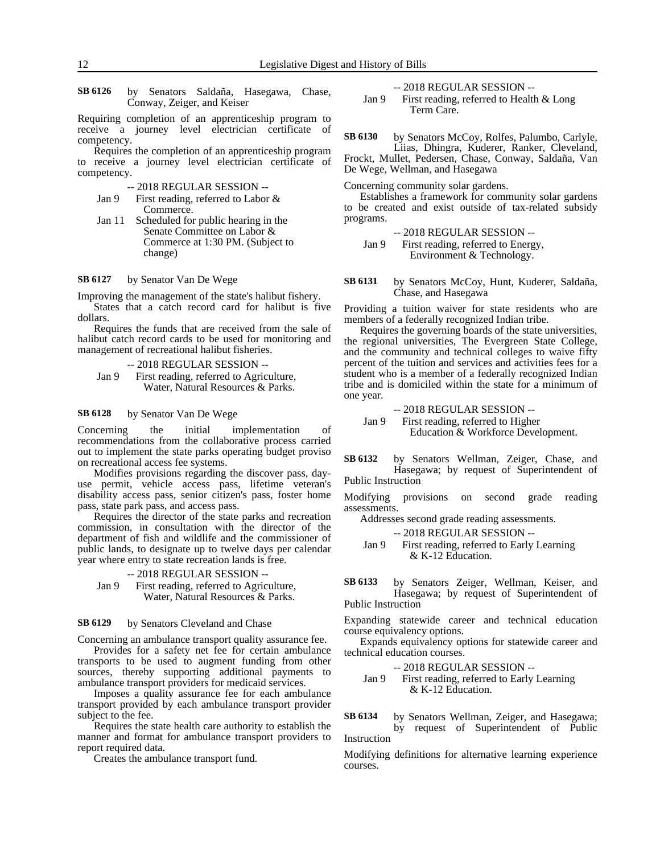by Senators Saldaña, Hasegawa, Chase, Conway, Zeiger, and Keiser **SB 6126**

Requiring completion of an apprenticeship program to receive a journey level electrician certificate of competency.

Requires the completion of an apprenticeship program to receive a journey level electrician certificate of competency.

- -- 2018 REGULAR SESSION --
- Jan 9 First reading, referred to Labor & Commerce.
- Jan 11 Scheduled for public hearing in the Senate Committee on Labor & Commerce at 1:30 PM. (Subject to change)

#### by Senator Van De Wege **SB 6127**

Improving the management of the state's halibut fishery.

States that a catch record card for halibut is five dollars.

Requires the funds that are received from the sale of halibut catch record cards to be used for monitoring and management of recreational halibut fisheries.

```
-- 2018 REGULAR SESSION --
```
Jan 9 First reading, referred to Agriculture, Water, Natural Resources & Parks.

#### by Senator Van De Wege **SB 6128**

Concerning the initial implementation of recommendations from the collaborative process carried out to implement the state parks operating budget proviso on recreational access fee systems.

Modifies provisions regarding the discover pass, dayuse permit, vehicle access pass, lifetime veteran's disability access pass, senior citizen's pass, foster home pass, state park pass, and access pass.

Requires the director of the state parks and recreation commission, in consultation with the director of the department of fish and wildlife and the commissioner of public lands, to designate up to twelve days per calendar year where entry to state recreation lands is free.

-- 2018 REGULAR SESSION --

Jan 9 First reading, referred to Agriculture, Water, Natural Resources & Parks.

#### by Senators Cleveland and Chase **SB 6129**

Concerning an ambulance transport quality assurance fee.

Provides for a safety net fee for certain ambulance transports to be used to augment funding from other sources, thereby supporting additional payments to ambulance transport providers for medicaid services.

Imposes a quality assurance fee for each ambulance transport provided by each ambulance transport provider subject to the fee.

Requires the state health care authority to establish the manner and format for ambulance transport providers to report required data.

Creates the ambulance transport fund.

-- 2018 REGULAR SESSION --

Jan 9 First reading, referred to Health & Long Term Care.

by Senators McCoy, Rolfes, Palumbo, Carlyle, Liias, Dhingra, Kuderer, Ranker, Cleveland, Frockt, Mullet, Pedersen, Chase, Conway, Saldaña, Van De Wege, Wellman, and Hasegawa **SB 6130**

Concerning community solar gardens.

Establishes a framework for community solar gardens to be created and exist outside of tax-related subsidy programs.

- -- 2018 REGULAR SESSION --
- Jan 9 First reading, referred to Energy, Environment & Technology.
- by Senators McCoy, Hunt, Kuderer, Saldaña, Chase, and Hasegawa **SB 6131**

Providing a tuition waiver for state residents who are members of a federally recognized Indian tribe.

Requires the governing boards of the state universities, the regional universities, The Evergreen State College, and the community and technical colleges to waive fifty percent of the tuition and services and activities fees for a student who is a member of a federally recognized Indian tribe and is domiciled within the state for a minimum of one year.

-- 2018 REGULAR SESSION --

Jan 9 First reading, referred to Higher Education & Workforce Development.

by Senators Wellman, Zeiger, Chase, and Hasegawa; by request of Superintendent of Public Instruction **SB 6132**

Modifying provisions on second grade reading assessments.

Addresses second grade reading assessments.

-- 2018 REGULAR SESSION --

Jan 9 First reading, referred to Early Learning & K-12 Education.

by Senators Zeiger, Wellman, Keiser, and Hasegawa; by request of Superintendent of **SB 6133**

### Public Instruction

Expanding statewide career and technical education course equivalency options.

Expands equivalency options for statewide career and technical education courses.

-- 2018 REGULAR SESSION --

Jan 9

\nFirst reading, referred to Early Learning

\n
$$
\&
$$
 K-12 Education.

by Senators Wellman, Zeiger, and Hasegawa; by request of Superintendent of Public Instruction **SB 6134**

Modifying definitions for alternative learning experience courses.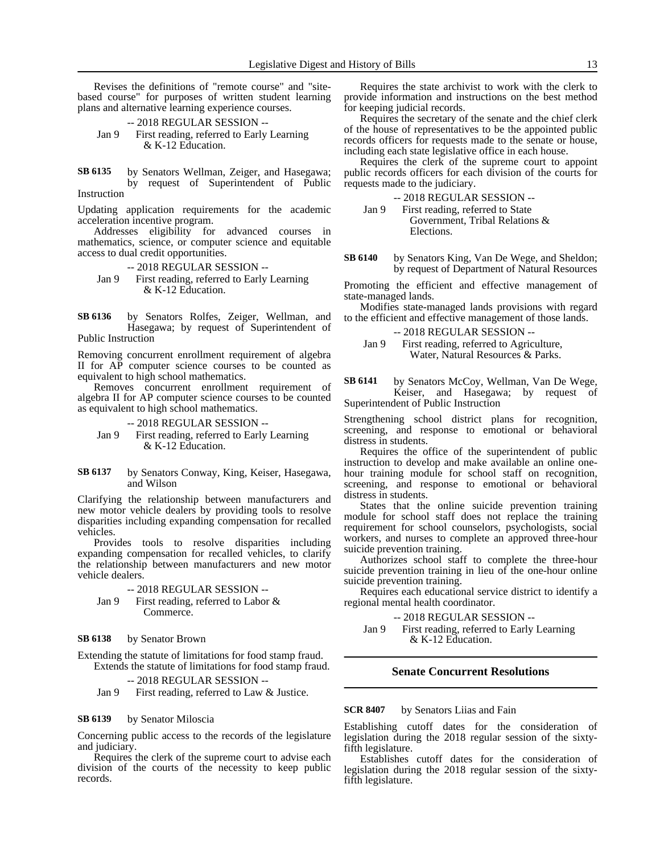Revises the definitions of "remote course" and "sitebased course" for purposes of written student learning plans and alternative learning experience courses.

-- 2018 REGULAR SESSION -- Jan 9 First reading, referred to Early Learning & K-12 Education.

by Senators Wellman, Zeiger, and Hasegawa; by request of Superintendent of Public Instruction **SB 6135**

Updating application requirements for the academic acceleration incentive program.

Addresses eligibility for advanced courses in mathematics, science, or computer science and equitable access to dual credit opportunities.

- -- 2018 REGULAR SESSION --
- Jan 9 First reading, referred to Early Learning & K-12 Education.

by Senators Rolfes, Zeiger, Wellman, and Hasegawa; by request of Superintendent of Public Instruction **SB 6136**

Removing concurrent enrollment requirement of algebra II for AP computer science courses to be counted as equivalent to high school mathematics.

Removes concurrent enrollment requirement of algebra II for AP computer science courses to be counted as equivalent to high school mathematics.

-- 2018 REGULAR SESSION --

- Jan 9 First reading, referred to Early Learning & K-12 Education.
- by Senators Conway, King, Keiser, Hasegawa, and Wilson **SB 6137**

Clarifying the relationship between manufacturers and new motor vehicle dealers by providing tools to resolve disparities including expanding compensation for recalled vehicles.

Provides tools to resolve disparities including expanding compensation for recalled vehicles, to clarify the relationship between manufacturers and new motor vehicle dealers.

-- 2018 REGULAR SESSION --

Jan 9 First reading, referred to Labor & Commerce.

#### by Senator Brown **SB 6138**

Extending the statute of limitations for food stamp fraud. Extends the statute of limitations for food stamp fraud.

-- 2018 REGULAR SESSION --

Jan 9 First reading, referred to Law & Justice.

#### by Senator Miloscia **SB 6139**

Concerning public access to the records of the legislature and judiciary.

Requires the clerk of the supreme court to advise each division of the courts of the necessity to keep public records.

Requires the state archivist to work with the clerk to provide information and instructions on the best method for keeping judicial records.

Requires the secretary of the senate and the chief clerk of the house of representatives to be the appointed public records officers for requests made to the senate or house, including each state legislative office in each house.

Requires the clerk of the supreme court to appoint public records officers for each division of the courts for requests made to the judiciary.

-- 2018 REGULAR SESSION --

Jan 9 First reading, referred to State Government, Tribal Relations & Elections.

by Senators King, Van De Wege, and Sheldon; by request of Department of Natural Resources **SB 6140**

Promoting the efficient and effective management of state-managed lands.

Modifies state-managed lands provisions with regard to the efficient and effective management of those lands.

-- 2018 REGULAR SESSION --

Jan 9 First reading, referred to Agriculture, Water, Natural Resources & Parks.

by Senators McCoy, Wellman, Van De Wege, Keiser, and Hasegawa; by request of Superintendent of Public Instruction **SB 6141**

Strengthening school district plans for recognition, screening, and response to emotional or behavioral distress in students.

Requires the office of the superintendent of public instruction to develop and make available an online onehour training module for school staff on recognition, screening, and response to emotional or behavioral distress in students.

States that the online suicide prevention training module for school staff does not replace the training requirement for school counselors, psychologists, social workers, and nurses to complete an approved three-hour suicide prevention training.

Authorizes school staff to complete the three-hour suicide prevention training in lieu of the one-hour online suicide prevention training.

Requires each educational service district to identify a regional mental health coordinator.

-- 2018 REGULAR SESSION --

Jan 9 First reading, referred to Early Learning & K-12 Education.

### **Senate Concurrent Resolutions**

#### by Senators Liias and Fain **SCR 8407**

Establishing cutoff dates for the consideration of legislation during the 2018 regular session of the sixtyfifth legislature.

Establishes cutoff dates for the consideration of legislation during the 2018 regular session of the sixtyfifth legislature.